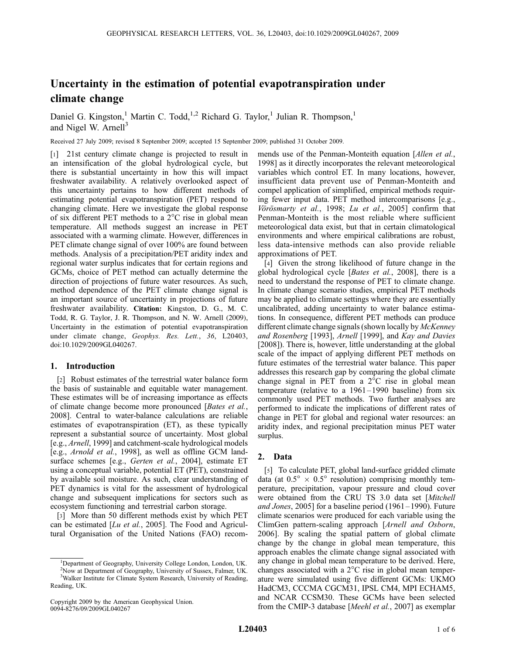# Uncertainty in the estimation of potential evapotranspiration under climate change

Daniel G. Kingston,<sup>1</sup> Martin C. Todd,<sup>1,2</sup> Richard G. Taylor,<sup>1</sup> Julian R. Thompson,<sup>1</sup> and Nigel W. Arnell<sup>3</sup>

Received 27 July 2009; revised 8 September 2009; accepted 15 September 2009; published 31 October 2009.

[1] 21st century climate change is projected to result in an intensification of the global hydrological cycle, but there is substantial uncertainty in how this will impact freshwater availability. A relatively overlooked aspect of this uncertainty pertains to how different methods of estimating potential evapotranspiration (PET) respond to changing climate. Here we investigate the global response of six different PET methods to a  $2^{\circ}$ C rise in global mean temperature. All methods suggest an increase in PET associated with a warming climate. However, differences in PET climate change signal of over 100% are found between methods. Analysis of a precipitation/PET aridity index and regional water surplus indicates that for certain regions and GCMs, choice of PET method can actually determine the direction of projections of future water resources. As such, method dependence of the PET climate change signal is an important source of uncertainty in projections of future freshwater availability. Citation: Kingston, D. G., M. C. Todd, R. G. Taylor, J. R. Thompson, and N. W. Arnell (2009), Uncertainty in the estimation of potential evapotranspiration under climate change, Geophys. Res. Lett., 36, L20403, doi:10.1029/2009GL040267.

### 1. Introduction

[2] Robust estimates of the terrestrial water balance form the basis of sustainable and equitable water management. These estimates will be of increasing importance as effects of climate change become more pronounced [Bates et al., 2008]. Central to water-balance calculations are reliable estimates of evapotranspiration (ET), as these typically represent a substantial source of uncertainty. Most global [e.g., Arnell, 1999] and catchment-scale hydrological models [e.g., Arnold et al., 1998], as well as offline GCM landsurface schemes [e.g., Gerten et al., 2004], estimate ET using a conceptual variable, potential ET (PET), constrained by available soil moisture. As such, clear understanding of PET dynamics is vital for the assessment of hydrological change and subsequent implications for sectors such as ecosystem functioning and terrestrial carbon storage.

[3] More than 50 different methods exist by which PET can be estimated  $[Lu \text{ et } al., 2005]$ . The Food and Agricultural Organisation of the United Nations (FAO) recom-

mends use of the Penman-Monteith equation [Allen et al., 1998] as it directly incorporates the relevant meteorological variables which control ET. In many locations, however, insufficient data prevent use of Penman-Monteith and compel application of simplified, empirical methods requiring fewer input data. PET method intercomparisons [e.g., Vörösmarty et al., 1998; Lu et al., 2005] confirm that Penman-Monteith is the most reliable where sufficient meteorological data exist, but that in certain climatological environments and where empirical calibrations are robust, less data-intensive methods can also provide reliable approximations of PET.

[4] Given the strong likelihood of future change in the global hydrological cycle [Bates et al., 2008], there is a need to understand the response of PET to climate change. In climate change scenario studies, empirical PET methods may be applied to climate settings where they are essentially uncalibrated, adding uncertainty to water balance estimations. In consequence, different PET methods can produce different climate change signals (shown locally by McKenney and Rosenberg [1993], Arnell [1999], and Kay and Davies [2008]). There is, however, little understanding at the global scale of the impact of applying different PET methods on future estimates of the terrestrial water balance. This paper addresses this research gap by comparing the global climate change signal in PET from a  $2^{\circ}$ C rise in global mean temperature (relative to a  $1961 - 1990$  baseline) from six commonly used PET methods. Two further analyses are performed to indicate the implications of different rates of change in PET for global and regional water resources: an aridity index, and regional precipitation minus PET water surplus.

### 2. Data

[5] To calculate PET, global land-surface gridded climate data (at  $0.5^{\circ} \times 0.5^{\circ}$  resolution) comprising monthly temperature, precipitation, vapour pressure and cloud cover were obtained from the CRU TS 3.0 data set [Mitchell and Jones, 2005] for a baseline period (1961–1990). Future climate scenarios were produced for each variable using the ClimGen pattern-scaling approach [Arnell and Osborn, 2006]. By scaling the spatial pattern of global climate change by the change in global mean temperature, this approach enables the climate change signal associated with any change in global mean temperature to be derived. Here, changes associated with a  $2^{\circ}$ C rise in global mean temperature were simulated using five different GCMs: UKMO HadCM3, CCCMA CGCM31, IPSL CM4, MPI ECHAM5, and NCAR CCSM30. These GCMs have been selected from the CMIP-3 database [Meehl et al., 2007] as exemplar

<sup>&</sup>lt;sup>1</sup>Department of Geography, University College London, London, UK. 2 Now at Department of Geography, University of Sussex, Falmer, UK.

<sup>&</sup>lt;sup>3</sup>Walker Institute for Climate System Research, University of Reading, Reading, UK.

Copyright 2009 by the American Geophysical Union. 0094-8276/09/2009GL040267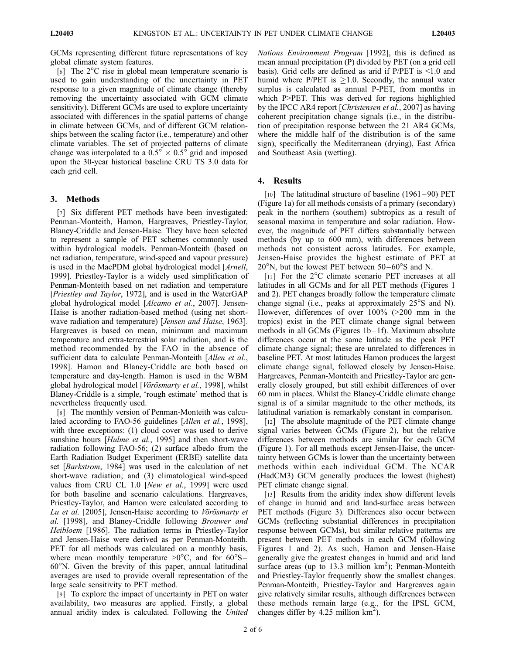GCMs representing different future representations of key global climate system features.

[6] The  $2^{\circ}$ C rise in global mean temperature scenario is used to gain understanding of the uncertainty in PET response to a given magnitude of climate change (thereby removing the uncertainty associated with GCM climate sensitivity). Different GCMs are used to explore uncertainty associated with differences in the spatial patterns of change in climate between GCMs, and of different GCM relationships between the scaling factor (i.e., temperature) and other climate variables. The set of projected patterns of climate change was interpolated to a  $0.5^{\circ} \times 0.5^{\circ}$  grid and imposed upon the 30-year historical baseline CRU TS 3.0 data for each grid cell.

## 3. Methods

[7] Six different PET methods have been investigated: Penman-Monteith, Hamon, Hargreaves, Priestley-Taylor, Blaney-Criddle and Jensen-Haise. They have been selected to represent a sample of PET schemes commonly used within hydrological models. Penman-Monteith (based on net radiation, temperature, wind-speed and vapour pressure) is used in the MacPDM global hydrological model [Arnell, 1999]. Priestley-Taylor is a widely used simplification of Penman-Monteith based on net radiation and temperature [Priestley and Taylor, 1972], and is used in the WaterGAP global hydrological model [Alcamo et al., 2007]. Jensen-Haise is another radiation-based method (using net shortwave radiation and temperature) [Jensen and Haise, 1963]. Hargreaves is based on mean, minimum and maximum temperature and extra-terrestrial solar radiation, and is the method recommended by the FAO in the absence of sufficient data to calculate Penman-Monteith [Allen et al., 1998]. Hamon and Blaney-Criddle are both based on temperature and day-length. Hamon is used in the WBM global hydrological model [Vörösmarty et al., 1998], whilst Blaney-Criddle is a simple, 'rough estimate' method that is nevertheless frequently used.

[8] The monthly version of Penman-Monteith was calculated according to FAO-56 guidelines [Allen et al., 1998], with three exceptions: (1) cloud cover was used to derive sunshine hours [Hulme et al., 1995] and then short-wave radiation following FAO-56; (2) surface albedo from the Earth Radiation Budget Experiment (ERBE) satellite data set [Barkstrom, 1984] was used in the calculation of net short-wave radiation; and (3) climatological wind-speed values from CRU CL 1.0 [New et al., 1999] were used for both baseline and scenario calculations. Hargreaves, Priestley-Taylor, and Hamon were calculated according to Lu et al.  $[2005]$ , Jensen-Haise according to Vörösmarty et al. [1998], and Blaney-Criddle following Brouwer and Heibloem [1986]. The radiation terms in Priestley-Taylor and Jensen-Haise were derived as per Penman-Monteith. PET for all methods was calculated on a monthly basis, where mean monthly temperature  $>0^{\circ}C$ , and for  $60^{\circ}S-$ 60-N. Given the brevity of this paper, annual latitudinal averages are used to provide overall representation of the large scale sensitivity to PET method.

[9] To explore the impact of uncertainty in PET on water availability, two measures are applied. Firstly, a global annual aridity index is calculated. Following the United Nations Environment Program [1992], this is defined as mean annual precipitation (P) divided by PET (on a grid cell basis). Grid cells are defined as arid if P/PET is <1.0 and humid where P/PET is  $\geq 1.0$ . Secondly, the annual water surplus is calculated as annual P-PET, from months in which P>PET. This was derived for regions highlighted by the IPCC AR4 report [Christensen et al., 2007] as having coherent precipitation change signals (i.e., in the distribution of precipitation response between the 21 AR4 GCMs, where the middle half of the distribution is of the same sign), specifically the Mediterranean (drying), East Africa and Southeast Asia (wetting).

# 4. Results

[10] The latitudinal structure of baseline (1961–90) PET (Figure 1a) for all methods consists of a primary (secondary) peak in the northern (southern) subtropics as a result of seasonal maxima in temperature and solar radiation. However, the magnitude of PET differs substantially between methods (by up to 600 mm), with differences between methods not consistent across latitudes. For example, Jensen-Haise provides the highest estimate of PET at  $20^{\circ}$ N, but the lowest PET between 50–60 $^{\circ}$ S and N.

[11] For the  $2^{\circ}$ C climate scenario PET increases at all latitudes in all GCMs and for all PET methods (Figures 1 and 2). PET changes broadly follow the temperature climate change signal (i.e., peaks at approximately  $25^{\circ}$ S and N). However, differences of over 100% (>200 mm in the tropics) exist in the PET climate change signal between methods in all GCMs (Figures 1b-1f). Maximum absolute differences occur at the same latitude as the peak PET climate change signal; these are unrelated to differences in baseline PET. At most latitudes Hamon produces the largest climate change signal, followed closely by Jensen-Haise. Hargreaves, Penman-Monteith and Priestley-Taylor are generally closely grouped, but still exhibit differences of over 60 mm in places. Whilst the Blaney-Criddle climate change signal is of a similar magnitude to the other methods, its latitudinal variation is remarkably constant in comparison.

[12] The absolute magnitude of the PET climate change signal varies between GCMs (Figure 2), but the relative differences between methods are similar for each GCM (Figure 1). For all methods except Jensen-Haise, the uncertainty between GCMs is lower than the uncertainty between methods within each individual GCM. The NCAR (HadCM3) GCM generally produces the lowest (highest) PET climate change signal.

[13] Results from the aridity index show different levels of change in humid and arid land-surface areas between PET methods (Figure 3). Differences also occur between GCMs (reflecting substantial differences in precipitation response between GCMs), but similar relative patterns are present between PET methods in each GCM (following Figures 1 and 2). As such, Hamon and Jensen-Haise generally give the greatest changes in humid and arid land surface areas (up to 13.3 million  $km^2$ ); Penman-Monteith and Priestley-Taylor frequently show the smallest changes. Penman-Monteith, Priestley-Taylor and Hargreaves again give relatively similar results, although differences between these methods remain large (e.g., for the IPSL GCM, changes differ by 4.25 million  $km^2$ ).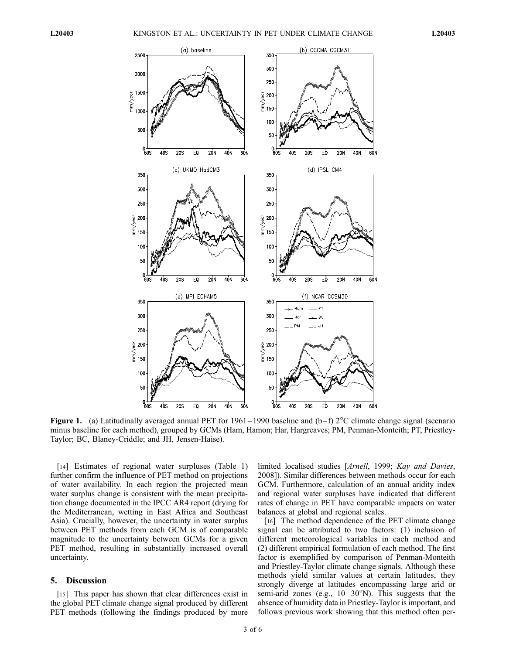

**Figure 1.** (a) Latitudinally averaged annual PET for 1961–1990 baseline and  $(b-f)$  2<sup>o</sup>C climate change signal (scenario minus baseline for each method), grouped by GCMs (Ham, Hamon; Har, Hargreaves; PM, Penman-Monteith; PT, Priestley-Taylor; BC, Blaney-Criddle; and JH, Jensen-Haise).

[14] Estimates of regional water surpluses (Table 1) further confirm the influence of PET method on projections of water availability. In each region the projected mean water surplus change is consistent with the mean precipitation change documented in the IPCC AR4 report (drying for the Mediterranean, wetting in East Africa and Southeast Asia). Crucially, however, the uncertainty in water surplus between PET methods from each GCM is of comparable magnitude to the uncertainty between GCMs for a given PET method, resulting in substantially increased overall uncertainty.

## 5. Discussion

[15] This paper has shown that clear differences exist in the global PET climate change signal produced by different PET methods (following the findings produced by more

limited localised studies [Arnell, 1999; Kay and Davies, 2008]). Similar differences between methods occur for each GCM. Furthermore, calculation of an annual aridity index and regional water surpluses have indicated that different rates of change in PET have comparable impacts on water balances at global and regional scales.

[16] The method dependence of the PET climate change signal can be attributed to two factors: (1) inclusion of different meteorological variables in each method and (2) different empirical formulation of each method. The first factor is exemplified by comparison of Penman-Monteith and Priestley-Taylor climate change signals. Although these methods yield similar values at certain latitudes, they strongly diverge at latitudes encompassing large arid or semi-arid zones (e.g.,  $10-30^{\circ}$ N). This suggests that the absence of humidity data in Priestley-Taylor is important, and follows previous work showing that this method often per-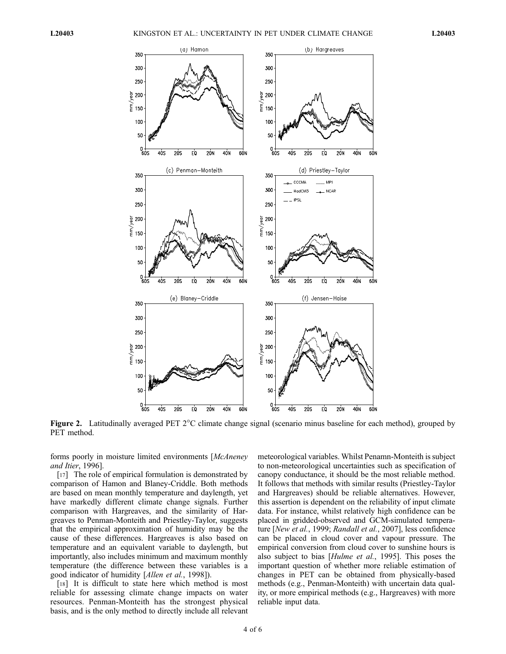

**Figure 2.** Latitudinally averaged PET  $2^{\circ}$ C climate change signal (scenario minus baseline for each method), grouped by PET method.

forms poorly in moisture limited environments [McAneney and Itier, 1996].

[17] The role of empirical formulation is demonstrated by comparison of Hamon and Blaney-Criddle. Both methods are based on mean monthly temperature and daylength, yet have markedly different climate change signals. Further comparison with Hargreaves, and the similarity of Hargreaves to Penman-Monteith and Priestley-Taylor, suggests that the empirical approximation of humidity may be the cause of these differences. Hargreaves is also based on temperature and an equivalent variable to daylength, but importantly, also includes minimum and maximum monthly temperature (the difference between these variables is a good indicator of humidity [Allen et al., 1998]).

[18] It is difficult to state here which method is most reliable for assessing climate change impacts on water resources. Penman-Monteith has the strongest physical basis, and is the only method to directly include all relevant

meteorological variables. Whilst Penamn-Monteith is subject to non-meteorological uncertainties such as specification of canopy conductance, it should be the most reliable method. It follows that methods with similar results (Priestley-Taylor and Hargreaves) should be reliable alternatives. However, this assertion is dependent on the reliability of input climate data. For instance, whilst relatively high confidence can be placed in gridded-observed and GCM-simulated temperature [New et al., 1999; Randall et al., 2007], less confidence can be placed in cloud cover and vapour pressure. The empirical conversion from cloud cover to sunshine hours is also subject to bias [Hulme et al., 1995]. This poses the important question of whether more reliable estimation of changes in PET can be obtained from physically-based methods (e.g., Penman-Monteith) with uncertain data quality, or more empirical methods (e.g., Hargreaves) with more reliable input data.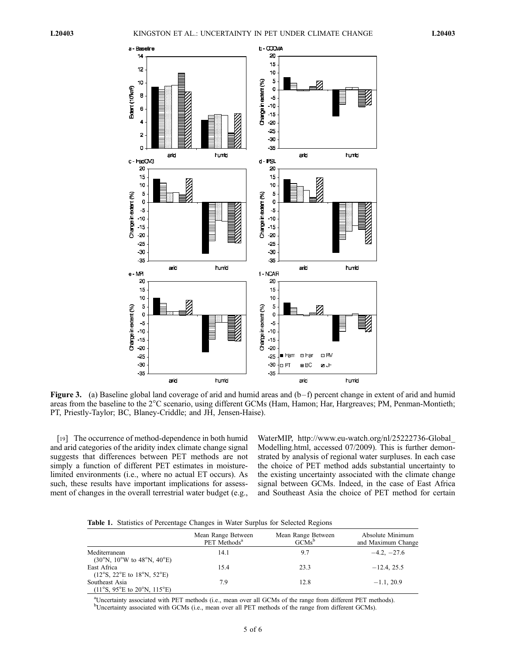

Figure 3. (a) Baseline global land coverage of arid and humid areas and  $(b-f)$  percent change in extent of arid and humid areas from the baseline to the 2°C scenario, using different GCMs (Ham, Hamon; Har, Hargreaves; PM, Penman-Montieth; PT, Priestly-Taylor; BC, Blaney-Criddle; and JH, Jensen-Haise).

[19] The occurrence of method-dependence in both humid and arid categories of the aridity index climate change signal suggests that differences between PET methods are not simply a function of different PET estimates in moisturelimited environments (i.e., where no actual ET occurs). As such, these results have important implications for assessment of changes in the overall terrestrial water budget (e.g.,

WaterMIP, http://www.eu-watch.org/nl/25222736-Global\_ Modelling.html, accessed 07/2009). This is further demonstrated by analysis of regional water surpluses. In each case the choice of PET method adds substantial uncertainty to the existing uncertainty associated with the climate change signal between GCMs. Indeed, in the case of East Africa and Southeast Asia the choice of PET method for certain

Table 1. Statistics of Percentage Changes in Water Surplus for Selected Regions

|                                                                                      | Mean Range Between<br>PET Methods <sup>a</sup> | Mean Range Between<br>$GCMs^b$ | Absolute Minimum<br>and Maximum Change |
|--------------------------------------------------------------------------------------|------------------------------------------------|--------------------------------|----------------------------------------|
| Mediterranean<br>$(30^{\circ}N, 10^{\circ}W)$ to $48^{\circ}N, 40^{\circ}E$ )        | 14.1                                           | 9.7                            | $-4.2, -27.6$                          |
| East Africa<br>$(12^{\circ}S, 22^{\circ}E \text{ to } 18^{\circ}N, 52^{\circ}E)$     | 15.4                                           | 23.3                           | $-12.4$ , 25.5                         |
| Southeast Asia<br>$(11^{\circ}S, 95^{\circ}E \text{ to } 20^{\circ}N, 115^{\circ}E)$ | 7.9                                            | 12.8                           | $-1.1, 20.9$                           |

a Uncertainty associated with PET methods (i.e., mean over all GCMs of the range from different PET methods). <sup>b</sup>Uncertainty associated with GCMs (i.e., mean over all PET methods of the range from different GCMs).